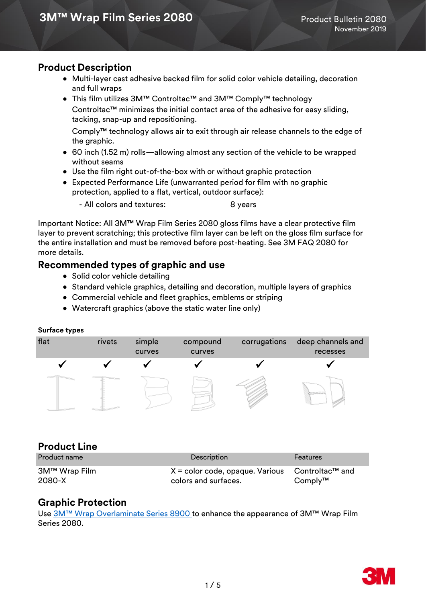### **Product Description**

- Multi-layer cast adhesive backed film for solid color vehicle detailing, decoration and full wraps
- This film utilizes 3M™ Controltac™ and 3M™ Comply™ technology Controltac™ minimizes the initial contact area of the adhesive for easy sliding, tacking, snap-up and repositioning.

Comply™ technology allows air to exit through air release channels to the edge of the graphic.

- 60 inch (1.52 m) rolls—allowing almost any section of the vehicle to be wrapped without seams
- Use the film right out-of-the-box with or without graphic protection
- Expected Performance Life (unwarranted period for film with no graphic protection, applied to a flat, vertical, outdoor surface):

- All colors and textures: 8 years

Important Notice: All 3M™ Wrap Film Series 2080 gloss films have a clear protective film layer to prevent scratching; this protective film layer can be left on the gloss film surface for the entire installation and must be removed before post-heating. See 3M FAQ 2080 for more details.

### **Recommended types of graphic and use**

- Solid color vehicle detailing
- Standard vehicle graphics, detailing and decoration, multiple layers of graphics
- Commercial vehicle and fleet graphics, emblems or striping
- Watercraft graphics (above the static water line only)

#### **Surface types**



### **Product Line**

| <b>Product name</b>     | <b>Description</b>                                                                     | <b>Features</b> |
|-------------------------|----------------------------------------------------------------------------------------|-----------------|
| 3M™ Wrap Film<br>2080-X | $X =$ color code, opaque. Various Controltac <sup>TM</sup> and<br>colors and surfaces. | $Comply^{TM}$   |

### **Graphic Protection**

Use [3M™ Wrap Overlaminate Series 8900](http://multimedia.3m.com/mws/media/1114584O/3m-wrap-overlaminate-series-8900.pdf) to enhance the appearance of 3M™ Wrap Film Series 2080.

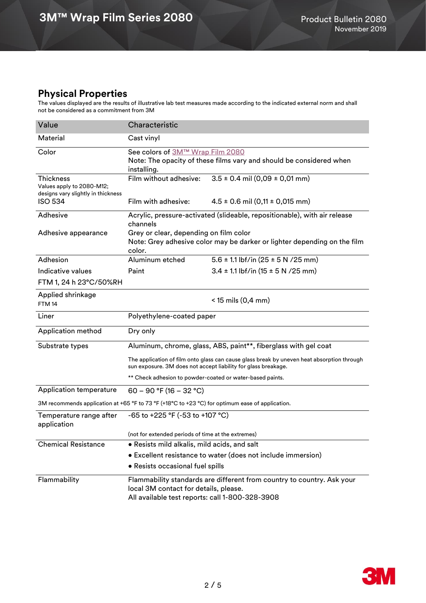# **Physical Properties**

The values displayed are the results of illustrative lab test measures made according to the indicated external norm and shall not be considered as a commitment from 3M

| Value                                                                                           | Characteristic                                                                                                                                                     |                                            |  |  |  |  |
|-------------------------------------------------------------------------------------------------|--------------------------------------------------------------------------------------------------------------------------------------------------------------------|--------------------------------------------|--|--|--|--|
| Material                                                                                        | Cast vinyl                                                                                                                                                         |                                            |  |  |  |  |
| Color                                                                                           | See colors of 3M™ Wrap Film 2080<br>Note: The opacity of these films vary and should be considered when<br>installing.                                             |                                            |  |  |  |  |
| <b>Thickness</b><br>Values apply to 2080-M12;<br>designs vary slightly in thickness             | Film without adhesive:                                                                                                                                             | $3.5 \pm 0.4$ mil (0,09 $\pm$ 0,01 mm)     |  |  |  |  |
| <b>ISO 534</b>                                                                                  | Film with adhesive:                                                                                                                                                | $4.5 \pm 0.6$ mil $(0,11 \pm 0,015$ mm)    |  |  |  |  |
| Adhesive                                                                                        | Acrylic, pressure-activated (slideable, repositionable), with air release<br>channels                                                                              |                                            |  |  |  |  |
| Adhesive appearance                                                                             | Grey or clear, depending on film color<br>Note: Grey adhesive color may be darker or lighter depending on the film<br>color.                                       |                                            |  |  |  |  |
| Adhesion                                                                                        | Aluminum etched                                                                                                                                                    | $5.6 \pm 1.1$ lbf/in (25 $\pm$ 5 N /25 mm) |  |  |  |  |
| Indicative values                                                                               | Paint                                                                                                                                                              | $3.4 \pm 1.1$ lbf/in (15 $\pm$ 5 N /25 mm) |  |  |  |  |
| FTM 1, 24 h 23°C/50%RH                                                                          |                                                                                                                                                                    |                                            |  |  |  |  |
| Applied shrinkage<br>FTM <sub>14</sub>                                                          | $<$ 15 mils (0,4 mm)                                                                                                                                               |                                            |  |  |  |  |
| Liner                                                                                           | Polyethylene-coated paper                                                                                                                                          |                                            |  |  |  |  |
| Application method                                                                              | Dry only                                                                                                                                                           |                                            |  |  |  |  |
| Substrate types                                                                                 | Aluminum, chrome, glass, ABS, paint**, fiberglass with gel coat                                                                                                    |                                            |  |  |  |  |
|                                                                                                 | The application of film onto glass can cause glass break by uneven heat absorption through<br>sun exposure. 3M does not accept liability for glass breakage.       |                                            |  |  |  |  |
|                                                                                                 | ** Check adhesion to powder-coated or water-based paints.                                                                                                          |                                            |  |  |  |  |
| Application temperature                                                                         | 60 - 90 °F (16 - 32 °C)                                                                                                                                            |                                            |  |  |  |  |
| 3M recommends application at +65 °F to 73 °F (+18°C to +23 °C) for optimum ease of application. |                                                                                                                                                                    |                                            |  |  |  |  |
| Temperature range after<br>application                                                          | -65 to +225 °F (-53 to +107 °C)                                                                                                                                    |                                            |  |  |  |  |
|                                                                                                 | (not for extended periods of time at the extremes)                                                                                                                 |                                            |  |  |  |  |
| <b>Chemical Resistance</b>                                                                      | · Resists mild alkalis, mild acids, and salt                                                                                                                       |                                            |  |  |  |  |
|                                                                                                 | • Excellent resistance to water (does not include immersion)                                                                                                       |                                            |  |  |  |  |
|                                                                                                 | • Resists occasional fuel spills                                                                                                                                   |                                            |  |  |  |  |
| Flammability                                                                                    | Flammability standards are different from country to country. Ask your<br>local 3M contact for details, please.<br>All available test reports: call 1-800-328-3908 |                                            |  |  |  |  |

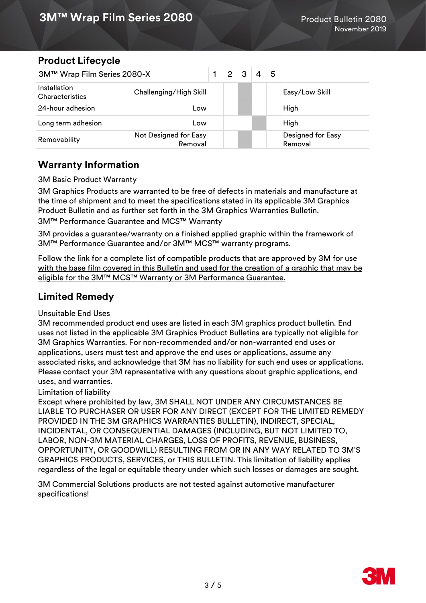# **Product Lifecycle**

| 3M™ Wrap Film Series 2080-X     |                                  | $\overline{2}$ | 3 | 4 | 5 |                                     |
|---------------------------------|----------------------------------|----------------|---|---|---|-------------------------------------|
| Installation<br>Characteristics | Challenging/High Skill           |                |   |   |   | Easy/Low Skill                      |
| 24-hour adhesion                | Low                              |                |   |   |   | High                                |
| Long term adhesion              | Low                              |                |   |   |   | High                                |
| Removability                    | Not Designed for Easy<br>Removal |                |   |   |   | <b>Designed for Easy</b><br>Removal |

# **Warranty Information**

3M Basic Product Warranty

3M Graphics Products are warranted to be free of defects in materials and manufacture at the time of shipment and to meet the specifications stated in its applicable 3M Graphics Product Bulletin and as further set forth in the 3M Graphics Warranties Bulletin. 3M™ Performance Guarantee and MCS™ Warranty

3M provides a guarantee/warranty on a finished applied graphic within the framework of 3M™ Performance Guarantee and/or 3M™ MCS™ warranty programs.

[Follow the link for a complete list of compatible products that are approved by 3M for use](https://www.3m.com/3M/en_US/graphics-signage-us/resources/warranties/)  with the base film covered in this Bulletin and used for the creation of a graphic that may be eligible for the 3M™ MCS™ Warranty or 3M Performance Guarantee.

# **Limited Remedy**

Unsuitable End Uses

3M recommended product end uses are listed in each 3M graphics product bulletin. End uses not listed in the applicable 3M Graphics Product Bulletins are typically not eligible for 3M Graphics Warranties. For non-recommended and/or non-warranted end uses or applications, users must test and approve the end uses or applications, assume any associated risks, and acknowledge that 3M has no liability for such end uses or applications. Please contact your 3M representative with any questions about graphic applications, end uses, and warranties.

Limitation of liability

Except where prohibited by law, 3M SHALL NOT UNDER ANY CIRCUMSTANCES BE LIABLE TO PURCHASER OR USER FOR ANY DIRECT (EXCEPT FOR THE LIMITED REMEDY PROVIDED IN THE 3M GRAPHICS WARRANTIES BULLETIN), INDIRECT, SPECIAL, INCIDENTAL, OR CONSEQUENTIAL DAMAGES (INCLUDING, BUT NOT LIMITED TO, LABOR, NON-3M MATERIAL CHARGES, LOSS OF PROFITS, REVENUE, BUSINESS, OPPORTUNITY, OR GOODWILL) RESULTING FROM OR IN ANY WAY RELATED TO 3M'S GRAPHICS PRODUCTS, SERVICES, or THIS BULLETIN. This limitation of liability applies regardless of the legal or equitable theory under which such losses or damages are sought.

3M Commercial Solutions products are not tested against automotive manufacturer specifications!

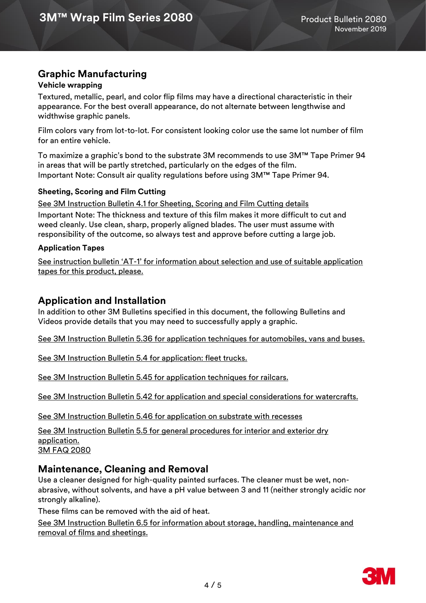# **Graphic Manufacturing**

#### **Vehicle wrapping**

Textured, metallic, pearl, and color flip films may have a directional characteristic in their appearance. For the best overall appearance, do not alternate between lengthwise and widthwise graphic panels.

Film colors vary from lot-to-lot. For consistent looking color use the same lot number of film for an entire vehicle.

To maximize a graphic's bond to the substrate 3M recommends to use 3M™ Tape Primer 94 in areas that will be partly stretched, particularly on the edges of the film. Important Note: Consult air quality regulations before using 3M™ Tape Primer 94.

#### **Sheeting, Scoring and Film Cutting**

Important Note: The thickness and texture of this film makes it more difficult to cut and weed cleanly. Use clean, sharp, properly aligned blades. The user must assume with responsibility of the outcome, so always test and approve before cutting a large job. [See 3M Instruction Bulletin 4.1 for Sheeting, Scoring and Film Cutting details](http://multimedia.3m.com/mws/media/12586O/4-1-scoring-and-cutting.pdf)

#### **Application Tapes**

See instruction bulletin 'AT-[1' for information about selection and use of suitable application](http://multimedia.3m.com/mws/media/1032943O/instruction-bulletin-at-1-application-tables.pdf)  [tapes for this product, please.](http://multimedia.3m.com/mws/media/1032943O/instruction-bulletin-at-1-application-tables.pdf)

## **Application and Installation**

In addition to other 3M Bulletins specified in this document, the following Bulletins and Videos provide details that you may need to successfully apply a graphic.

[See 3M Instruction Bulletin 5.36 for application techniques for automobiles, vans and buses.](http://multimedia.3m.com/mws/media/100373O/5-36-application-techniques-for-automobiles-vans-and-buses.pdf) 

[See 3M Instruction Bulletin 5.4 for application: fleet trucks.](http://multimedia.3m.com/mws/media/576877O/5-45-application-techniques-for-railcars.pdf)

[See 3M Instruction Bulletin 5.45 for application techniques for railcars.](http://multimedia.3m.com/mws/media/576877O/5-45-application-techniques-for-railcars.pdf)

[See 3M Instruction Bulletin 5.42 for application and special considerations for watercrafts.](http://multimedia.3m.com/mws/media/503711O/application-special-considerations-for-watercraft.pdf)

See 3M Instruction Bulletin 5.46 [for application on substrate with recesses](https://multimedia.3m.com/mws/media/1614253O/5-46-application-on-substrates-with-recesses-instruction-bulletin.pdf)

[See 3M Instruction Bulletin 5.5 for general procedures for interior and exterior dry](http://multimedia.3m.com/mws/media/9620O/5-5-application-dry-method.pdf)  [application.](http://multimedia.3m.com/mws/media/9620O/5-5-application-dry-method.pdf) 3M FAQ 2080

### **Maintenance, Cleaning and Removal**

Use a cleaner designed for high-quality painted surfaces. The cleaner must be wet, nonabrasive, without solvents, and have a pH value between 3 and 11 (neither strongly acidic nor strongly alkaline).

These films can be removed with the aid of heat.

[See 3M Instruction Bulletin 6.5 for information about storage, handling, maintenance and](http://multimedia.3m.com/mws/media/12593O/6-5-storage-handling-maintenance-removal-of-films-sheetings.pdf)  [removal of films and sheetings.](http://multimedia.3m.com/mws/media/12593O/6-5-storage-handling-maintenance-removal-of-films-sheetings.pdf)